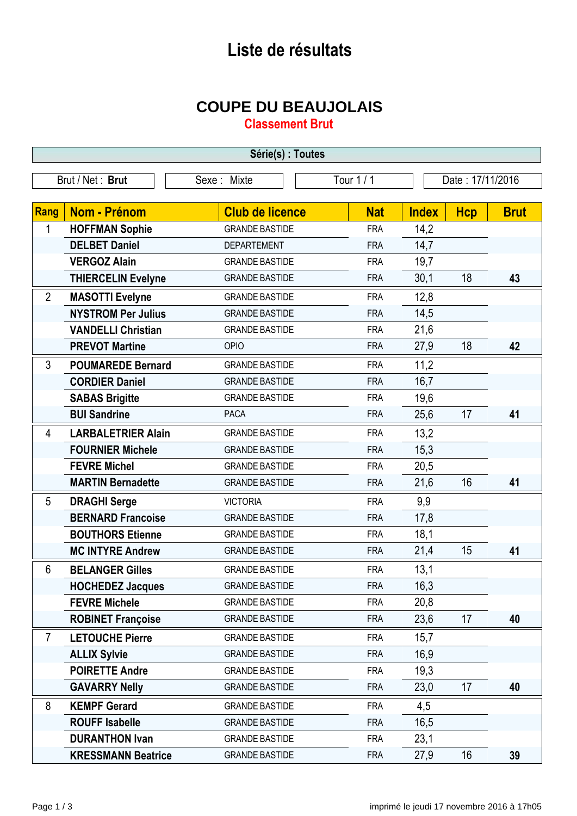## **Liste de résultats**

## **COUPE DU BEAUJOLAIS**

**Classement Brut**

| Série(s) : Toutes                                                 |                           |                        |            |              |            |             |  |
|-------------------------------------------------------------------|---------------------------|------------------------|------------|--------------|------------|-------------|--|
| Tour 1 / 1<br>Date: 17/11/2016<br>Brut / Net: Brut<br>Sexe: Mixte |                           |                        |            |              |            |             |  |
|                                                                   |                           |                        |            |              |            |             |  |
| Rang                                                              | <b>Nom - Prénom</b>       | <b>Club de licence</b> | <b>Nat</b> | <b>Index</b> | <b>Hcp</b> | <b>Brut</b> |  |
| 1                                                                 | <b>HOFFMAN Sophie</b>     | <b>GRANDE BASTIDE</b>  | <b>FRA</b> | 14,2         |            |             |  |
|                                                                   | <b>DELBET Daniel</b>      | <b>DEPARTEMENT</b>     | <b>FRA</b> | 14,7         |            |             |  |
|                                                                   | <b>VERGOZ Alain</b>       | <b>GRANDE BASTIDE</b>  | <b>FRA</b> | 19,7         |            |             |  |
|                                                                   | <b>THIERCELIN Evelyne</b> | <b>GRANDE BASTIDE</b>  | <b>FRA</b> | 30,1         | 18         | 43          |  |
| $\overline{2}$                                                    | <b>MASOTTI Evelyne</b>    | <b>GRANDE BASTIDE</b>  | <b>FRA</b> | 12,8         |            |             |  |
|                                                                   | <b>NYSTROM Per Julius</b> | <b>GRANDE BASTIDE</b>  | <b>FRA</b> | 14,5         |            |             |  |
|                                                                   | <b>VANDELLI Christian</b> | <b>GRANDE BASTIDE</b>  | <b>FRA</b> | 21,6         |            |             |  |
|                                                                   | <b>PREVOT Martine</b>     | OPIO                   | <b>FRA</b> | 27,9         | 18         | 42          |  |
| 3                                                                 | <b>POUMAREDE Bernard</b>  | <b>GRANDE BASTIDE</b>  | <b>FRA</b> | 11,2         |            |             |  |
|                                                                   | <b>CORDIER Daniel</b>     | <b>GRANDE BASTIDE</b>  | <b>FRA</b> | 16,7         |            |             |  |
|                                                                   | <b>SABAS Brigitte</b>     | <b>GRANDE BASTIDE</b>  | <b>FRA</b> | 19,6         |            |             |  |
|                                                                   | <b>BUI Sandrine</b>       | <b>PACA</b>            | <b>FRA</b> | 25,6         | 17         | 41          |  |
| 4                                                                 | <b>LARBALETRIER Alain</b> | <b>GRANDE BASTIDE</b>  | <b>FRA</b> | 13,2         |            |             |  |
|                                                                   | <b>FOURNIER Michele</b>   | <b>GRANDE BASTIDE</b>  | <b>FRA</b> | 15,3         |            |             |  |
|                                                                   | <b>FEVRE Michel</b>       | <b>GRANDE BASTIDE</b>  | <b>FRA</b> | 20,5         |            |             |  |
|                                                                   | <b>MARTIN Bernadette</b>  | <b>GRANDE BASTIDE</b>  | <b>FRA</b> | 21,6         | 16         | 41          |  |
| 5                                                                 | <b>DRAGHI Serge</b>       | <b>VICTORIA</b>        | <b>FRA</b> | 9,9          |            |             |  |
|                                                                   | <b>BERNARD Francoise</b>  | <b>GRANDE BASTIDE</b>  | <b>FRA</b> | 17,8         |            |             |  |
|                                                                   | <b>BOUTHORS Etienne</b>   | <b>GRANDE BASTIDE</b>  | <b>FRA</b> | 18,1         |            |             |  |
|                                                                   | <b>MC INTYRE Andrew</b>   | <b>GRANDE BASTIDE</b>  | <b>FRA</b> | 21,4         | 15         | 41          |  |
| 6                                                                 | <b>BELANGER Gilles</b>    | <b>GRANDE BASTIDE</b>  | <b>FRA</b> | 13,1         |            |             |  |
|                                                                   | <b>HOCHEDEZ Jacques</b>   | <b>GRANDE BASTIDE</b>  | <b>FRA</b> | 16,3         |            |             |  |
|                                                                   | <b>FEVRE Michele</b>      | <b>GRANDE BASTIDE</b>  | <b>FRA</b> | 20,8         |            |             |  |
|                                                                   | <b>ROBINET Françoise</b>  | <b>GRANDE BASTIDE</b>  | <b>FRA</b> | 23,6         | 17         | 40          |  |
| $\overline{7}$                                                    | <b>LETOUCHE Pierre</b>    | <b>GRANDE BASTIDE</b>  | <b>FRA</b> | 15,7         |            |             |  |
|                                                                   | <b>ALLIX Sylvie</b>       | <b>GRANDE BASTIDE</b>  | <b>FRA</b> | 16,9         |            |             |  |
|                                                                   | <b>POIRETTE Andre</b>     | <b>GRANDE BASTIDE</b>  | <b>FRA</b> | 19,3         |            |             |  |
|                                                                   | <b>GAVARRY Nelly</b>      | <b>GRANDE BASTIDE</b>  | <b>FRA</b> | 23,0         | 17         | 40          |  |
| 8                                                                 | <b>KEMPF Gerard</b>       | <b>GRANDE BASTIDE</b>  | <b>FRA</b> | 4,5          |            |             |  |
|                                                                   | <b>ROUFF Isabelle</b>     | <b>GRANDE BASTIDE</b>  | <b>FRA</b> | 16,5         |            |             |  |
|                                                                   | <b>DURANTHON Ivan</b>     | <b>GRANDE BASTIDE</b>  | <b>FRA</b> | 23,1         |            |             |  |
|                                                                   | <b>KRESSMANN Beatrice</b> | <b>GRANDE BASTIDE</b>  | <b>FRA</b> | 27,9         | 16         | 39          |  |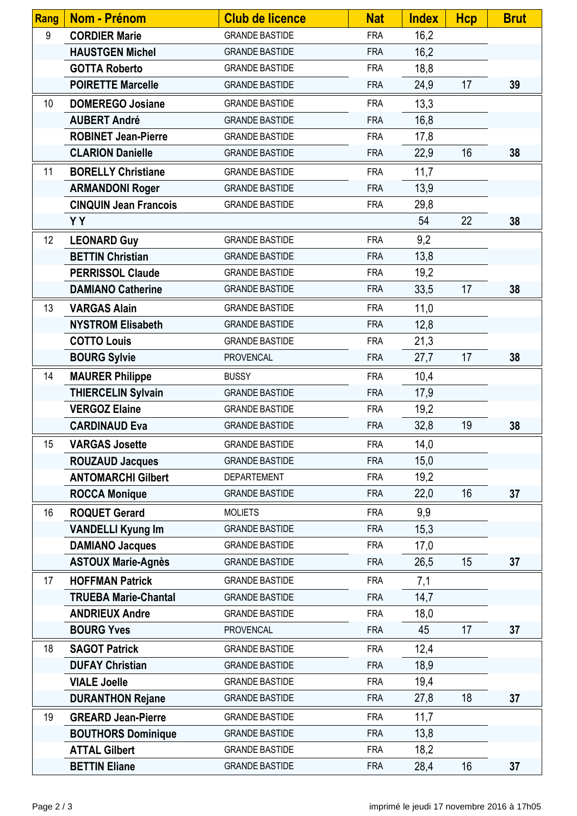| <b>Rang</b> | <b>Nom - Prénom</b>          | <b>Club de licence</b> | <b>Nat</b> | <b>Index</b> | <b>Hcp</b> | <b>Brut</b> |
|-------------|------------------------------|------------------------|------------|--------------|------------|-------------|
| 9           | <b>CORDIER Marie</b>         | <b>GRANDE BASTIDE</b>  | <b>FRA</b> | 16,2         |            |             |
|             | <b>HAUSTGEN Michel</b>       | <b>GRANDE BASTIDE</b>  | <b>FRA</b> | 16,2         |            |             |
|             | <b>GOTTA Roberto</b>         | <b>GRANDE BASTIDE</b>  | <b>FRA</b> | 18,8         |            |             |
|             | <b>POIRETTE Marcelle</b>     | <b>GRANDE BASTIDE</b>  | <b>FRA</b> | 24,9         | 17         | 39          |
| 10          | <b>DOMEREGO Josiane</b>      | <b>GRANDE BASTIDE</b>  | <b>FRA</b> | 13,3         |            |             |
|             | <b>AUBERT André</b>          | <b>GRANDE BASTIDE</b>  | <b>FRA</b> | 16,8         |            |             |
|             | <b>ROBINET Jean-Pierre</b>   | <b>GRANDE BASTIDE</b>  | <b>FRA</b> | 17,8         |            |             |
|             | <b>CLARION Danielle</b>      | <b>GRANDE BASTIDE</b>  | <b>FRA</b> | 22,9         | 16         | 38          |
| 11          | <b>BORELLY Christiane</b>    | <b>GRANDE BASTIDE</b>  | <b>FRA</b> | 11,7         |            |             |
|             | <b>ARMANDONI Roger</b>       | <b>GRANDE BASTIDE</b>  | <b>FRA</b> | 13,9         |            |             |
|             | <b>CINQUIN Jean Francois</b> | <b>GRANDE BASTIDE</b>  | <b>FRA</b> | 29,8         |            |             |
|             | <b>YY</b>                    |                        |            | 54           | 22         | 38          |
| 12          | <b>LEONARD Guy</b>           | <b>GRANDE BASTIDE</b>  | <b>FRA</b> | 9,2          |            |             |
|             | <b>BETTIN Christian</b>      | <b>GRANDE BASTIDE</b>  | <b>FRA</b> | 13,8         |            |             |
|             | <b>PERRISSOL Claude</b>      | <b>GRANDE BASTIDE</b>  | <b>FRA</b> | 19,2         |            |             |
|             | <b>DAMIANO Catherine</b>     | <b>GRANDE BASTIDE</b>  | <b>FRA</b> | 33,5         | 17         | 38          |
| 13          | <b>VARGAS Alain</b>          | <b>GRANDE BASTIDE</b>  | <b>FRA</b> | 11,0         |            |             |
|             | <b>NYSTROM Elisabeth</b>     | <b>GRANDE BASTIDE</b>  | <b>FRA</b> | 12,8         |            |             |
|             | <b>COTTO Louis</b>           | <b>GRANDE BASTIDE</b>  | <b>FRA</b> | 21,3         |            |             |
|             | <b>BOURG Sylvie</b>          | <b>PROVENCAL</b>       | <b>FRA</b> | 27,7         | 17         | 38          |
| 14          | <b>MAURER Philippe</b>       | <b>BUSSY</b>           | <b>FRA</b> | 10,4         |            |             |
|             | <b>THIERCELIN Sylvain</b>    | <b>GRANDE BASTIDE</b>  | <b>FRA</b> | 17,9         |            |             |
|             | <b>VERGOZ Elaine</b>         | <b>GRANDE BASTIDE</b>  | <b>FRA</b> | 19,2         |            |             |
|             | <b>CARDINAUD Eva</b>         | <b>GRANDE BASTIDE</b>  | <b>FRA</b> | 32,8         | 19         | 38          |
| 15          | <b>VARGAS Josette</b>        | <b>GRANDE BASTIDE</b>  | <b>FRA</b> | 14,0         |            |             |
|             | <b>ROUZAUD Jacques</b>       | <b>GRANDE BASTIDE</b>  | <b>FRA</b> | 15,0         |            |             |
|             | <b>ANTOMARCHI Gilbert</b>    | <b>DEPARTEMENT</b>     | <b>FRA</b> | 19,2         |            |             |
|             | <b>ROCCA Monique</b>         | <b>GRANDE BASTIDE</b>  | <b>FRA</b> | 22,0         | 16         | 37          |
| 16          | <b>ROQUET Gerard</b>         | <b>MOLIETS</b>         | <b>FRA</b> | 9,9          |            |             |
|             | <b>VANDELLI Kyung Im</b>     | <b>GRANDE BASTIDE</b>  | <b>FRA</b> | 15,3         |            |             |
|             | <b>DAMIANO Jacques</b>       | <b>GRANDE BASTIDE</b>  | <b>FRA</b> | 17,0         |            |             |
|             | <b>ASTOUX Marie-Agnès</b>    | <b>GRANDE BASTIDE</b>  | <b>FRA</b> | 26,5         | 15         | 37          |
| 17          | <b>HOFFMAN Patrick</b>       | <b>GRANDE BASTIDE</b>  | <b>FRA</b> | 7,1          |            |             |
|             | <b>TRUEBA Marie-Chantal</b>  | <b>GRANDE BASTIDE</b>  | <b>FRA</b> | 14,7         |            |             |
|             | <b>ANDRIEUX Andre</b>        | <b>GRANDE BASTIDE</b>  | <b>FRA</b> | 18,0         |            |             |
|             | <b>BOURG Yves</b>            | <b>PROVENCAL</b>       | <b>FRA</b> | 45           | 17         | 37          |
| 18          | <b>SAGOT Patrick</b>         | <b>GRANDE BASTIDE</b>  | <b>FRA</b> | 12,4         |            |             |
|             | <b>DUFAY Christian</b>       | <b>GRANDE BASTIDE</b>  | <b>FRA</b> | 18,9         |            |             |
|             | <b>VIALE Joelle</b>          | <b>GRANDE BASTIDE</b>  | <b>FRA</b> | 19,4         |            |             |
|             | <b>DURANTHON Rejane</b>      | <b>GRANDE BASTIDE</b>  | <b>FRA</b> | 27,8         | 18         | 37          |
| 19          | <b>GREARD Jean-Pierre</b>    | <b>GRANDE BASTIDE</b>  | <b>FRA</b> | 11,7         |            |             |
|             | <b>BOUTHORS Dominique</b>    | <b>GRANDE BASTIDE</b>  | <b>FRA</b> | 13,8         |            |             |
|             | <b>ATTAL Gilbert</b>         | <b>GRANDE BASTIDE</b>  | <b>FRA</b> | 18,2         |            |             |
|             | <b>BETTIN Eliane</b>         | <b>GRANDE BASTIDE</b>  | <b>FRA</b> | 28,4         | 16         | 37          |